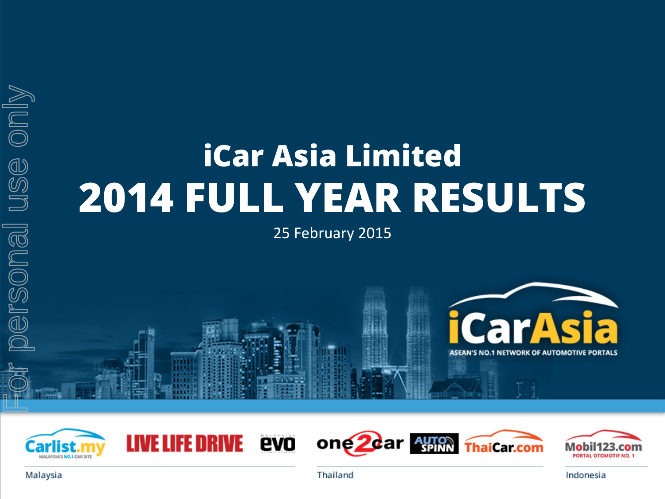# **iCar Asia Limited 2014 FULL YEAR RESULTS**

25 February 2015





**LIVE LIFE DRIVE** 



Indonesia

**ThaiCar.com** 

Thailand

one<sup>2d</sup>ar Auton

evo

Malaysia

use only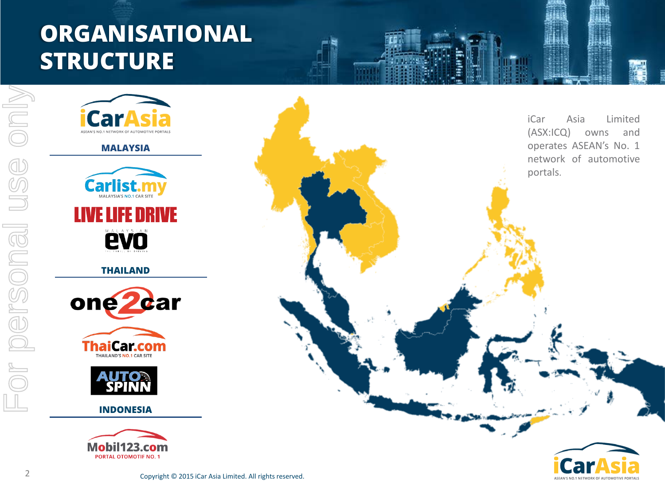# **ORGANISATIONAL STRUCTURE**











**INDONESIA**



iCar Asia Limited (ASX:ICQ) owns and operates ASEAN's No. 1 network of automotive portals.

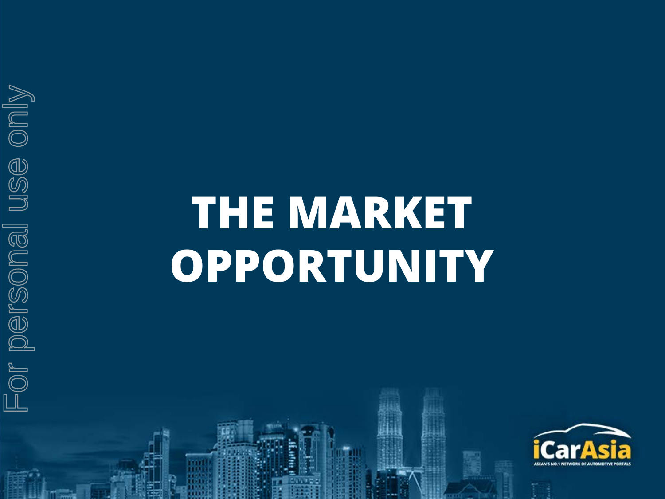# For personal use only For personal use only

# **THE MARKET OPPORTUNITY**

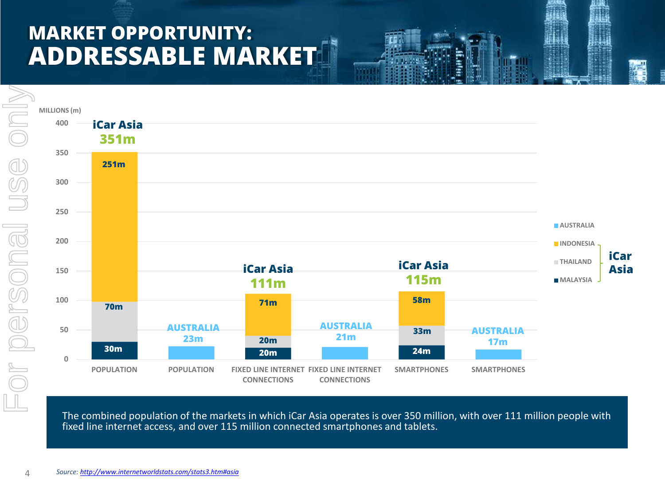## **MARKET OPPORTUNITY: ADDRESSABLE MARKET**



The combined population of the markets in which iCar Asia operates is over 350 million, with over 111 million people with fixed line internet access, and over 115 million connected smartphones and tablets.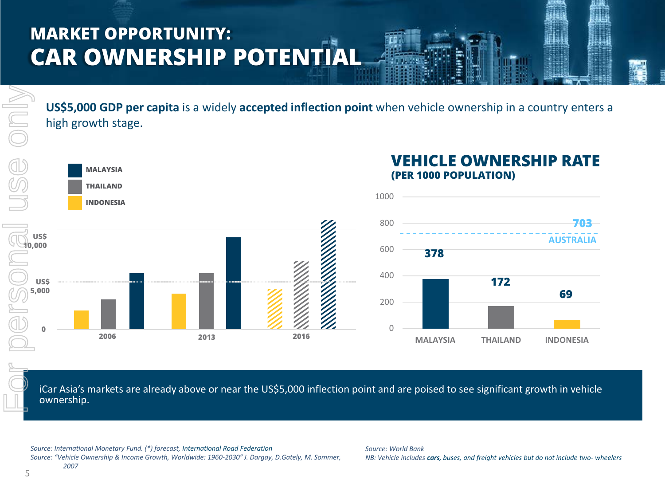## **MARKET OPPORTUNITY: CAR OWNERSHIP POTENTIA**

**US\$5,000 GDP per capita** is a widely **accepted inflection point** when vehicle ownership in a country enters a high growth stage.



iCar Asia's markets are already above or near the US\$5,000 inflection point and are poised to see significant growth in vehicle ownership.

*Source: International Monetary Fund. (\*) forecast, International Road Federation Source: "Vehicle Ownership & Income Growth, Worldwide: 1960-2030" J. Dargay, D.Gately, M. Sommer, 2007*

*Source: World Bank NB: Vehicle includes cars, buses, and freight vehicles but do not include two- wheelers*

 $\geq$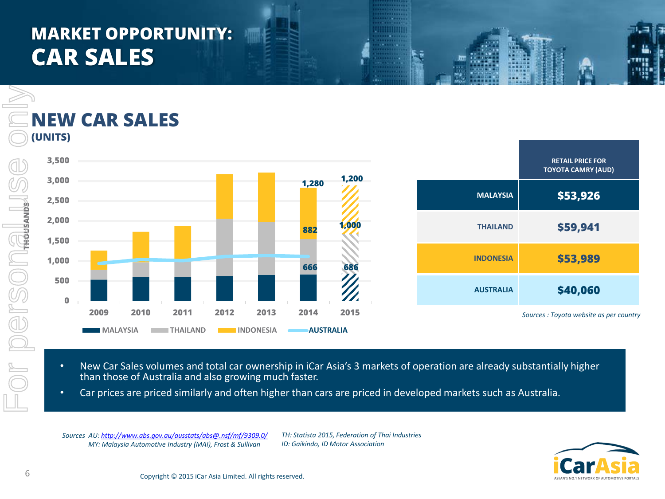## **MARKET OPPORTUNITY: CAR SALES**



- New Car Sales volumes and total car ownership in iCar Asia's 3 markets of operation are already substantially higher than those of Australia and also growing much faster.
- Car prices are priced similarly and often higher than cars are priced in developed markets such as Australia.

*Sources AU:<http://www.abs.gov.au/ausstats/abs@.nsf/mf/9309.0/> MY: Malaysia Automotive Industry (MAI), Frost & Sullivan*

*TH: Statista 2015, Federation of Thai Industries ID: Gaikindo, ID Motor Association*

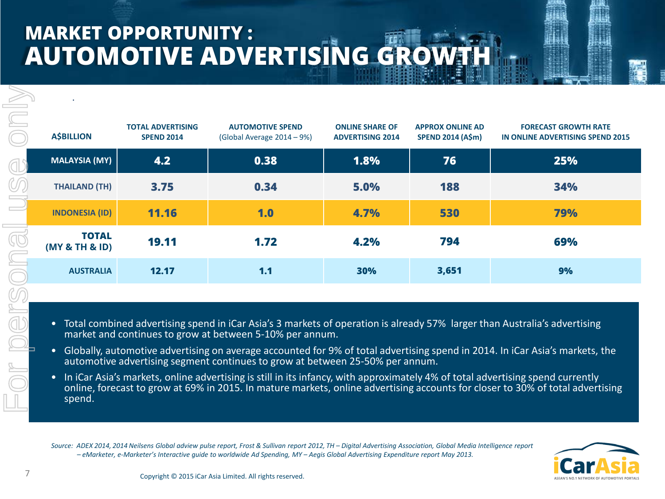# **MARKET OPPORTUNITY : AUTOMOTIVE ADVERTISING GROWTH**

| <b>ASBILLION</b>               | <b>TOTAL ADVERTISING</b><br><b>SPEND 2014</b> | <b>AUTOMOTIVE SPEND</b><br>(Global Average 2014 – 9%) | <b>ONLINE SHARE OF</b><br><b>ADVERTISING 2014</b> | <b>APPROX ONLINE AD</b><br><b>SPEND 2014 (A\$m)</b> | <b>FORECAST GROWTH RATE</b><br>IN ONLINE ADVERTISING SPEND 2015 |
|--------------------------------|-----------------------------------------------|-------------------------------------------------------|---------------------------------------------------|-----------------------------------------------------|-----------------------------------------------------------------|
| <b>MALAYSIA (MY)</b>           | 4.2                                           | 0.38                                                  | 1.8%                                              | 76                                                  | 25%                                                             |
| <b>THAILAND (TH)</b>           | 3.75                                          | 0.34                                                  | 5.0%                                              | 188                                                 | 34%                                                             |
| <b>INDONESIA (ID)</b>          | <b>11.16</b>                                  | 1.0                                                   | 4.7%                                              | 530                                                 | 79%                                                             |
| <b>TOTAL</b><br>(MY & TH & ID) | 19.11                                         | 1.72                                                  | 4.2%                                              | 794                                                 | 69%                                                             |
| <b>AUSTRALIA</b>               | 12.17                                         | 1.1                                                   | 30%                                               | 3,651                                               | 9%                                                              |

- Total combined advertising spend in iCar Asia's 3 markets of operation is already 57% larger than Australia's advertising market and continues to grow at between 5-10% per annum.
- Globally, automotive advertising on average accounted for 9% of total advertising spend in 2014. In iCar Asia's markets, the automotive advertising segment continues to grow at between 25-50% per annum.
- **•** In iCar Asia's markets, online advertising is still in its infancy, with approximately 4% of total advertising spend currently online, forecast to grow at 69% in 2015. In mature markets, online advertising accounts for closer to 30% of total advertising

*Source: ADEX 2014, 2014 Neilsens Global adview pulse report, Frost & Sullivan report 2012, TH – Digital Advertising Association, Global Media Intelligence report – eMarketer, e-Marketer's Interactive guide to worldwide Ad Spending, MY – Aegis Global Advertising Expenditure report May 2013.*

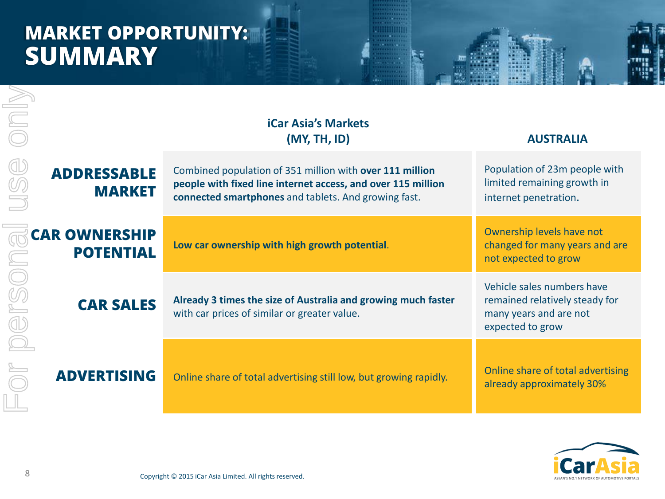## **MARKET OPPORTUNITY: SUMMARY**

|                  |                                          | <b>iCar Asia's Markets</b><br>(MY, TH, ID)                                                                                                                                       | <b>AUSTRALIA</b>                                                                                           |
|------------------|------------------------------------------|----------------------------------------------------------------------------------------------------------------------------------------------------------------------------------|------------------------------------------------------------------------------------------------------------|
|                  | <b>ADDRESSABLE</b><br><b>MARKET</b>      | Combined population of 351 million with over 111 million<br>people with fixed line internet access, and over 115 million<br>connected smartphones and tablets. And growing fast. | Population of 23m people with<br>limited remaining growth in<br>internet penetration.                      |
|                  | <b>CAR OWNERSHIP</b><br><b>POTENTIAL</b> | Low car ownership with high growth potential.                                                                                                                                    | Ownership levels have not<br>changed for many years and are<br>not expected to grow                        |
| <b>CAR SALES</b> |                                          | Already 3 times the size of Australia and growing much faster<br>with car prices of similar or greater value.                                                                    | Vehicle sales numbers have<br>remained relatively steady for<br>many years and are not<br>expected to grow |
|                  | <b>ADVERTISING</b>                       | Online share of total advertising still low, but growing rapidly.                                                                                                                | Online share of total advertising<br>already approximately 30%                                             |
| 8                |                                          | Copyright © 2015 iCar Asia Limited. All rights reserved.                                                                                                                         |                                                                                                            |

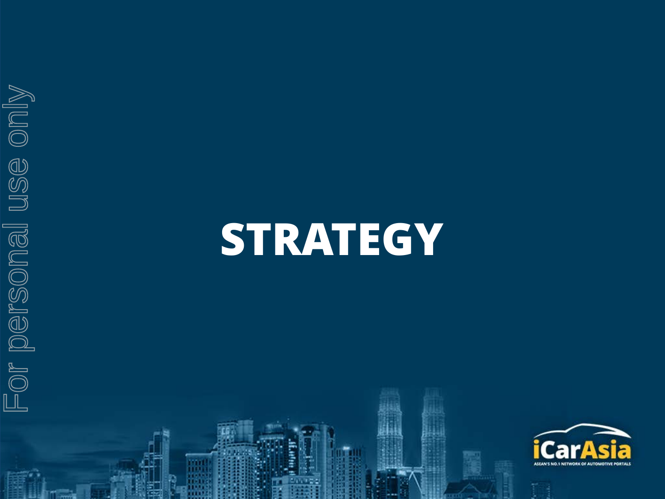

# **STRATEGY**

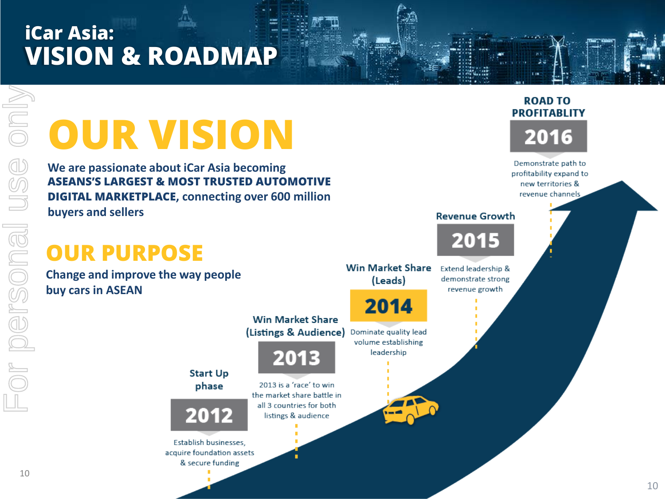# **iCar Asia: VISION & ROADMAP**

# **OUR VISION**

**We are passionate about iCar Asia becoming ASEANS'S LARGEST & MOST TRUSTED AUTOMOTIVE DIGITAL MARKETPLACE, connecting over 600 million buyers and sellers**

**Start Up** 

phase

& secure funding

## **OUR PURPOSE**

**Change and improve the way people buy cars in ASEAN**



Demonstrate path to profitability expand to new territories & revenue channels





10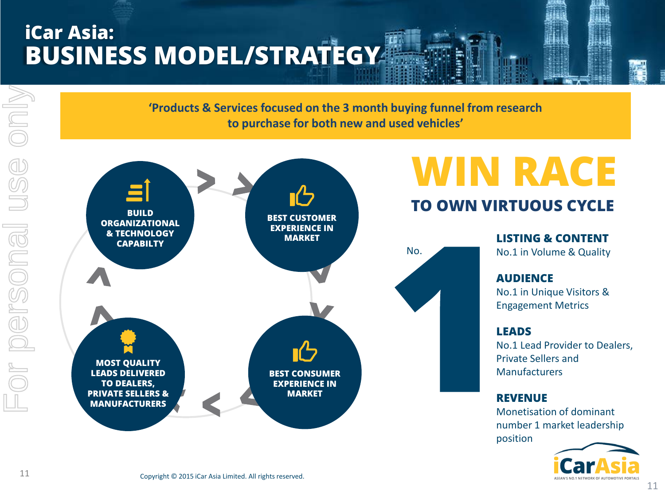# **iCar Asia: BUSINESS MODEL/STRATEGY**

**'Products & Services focused on the 3 month buying funnel from research to purchase for both new and used vehicles'**



# **WIN RACE**

#### **TO OWN VIRTUOUS CYCLE**

**LISTING & CONTENT** No.1 in Volume & Quality **AUDIENCE** No.1 in Unique Visitors & Engagement Metrics

#### **LEADS**

No.1 Lead Provider to Dealers, Private Sellers and Manufacturers

#### **REVENUE**

Monetisation of dominant number 1 market leadership position



MIUO

USC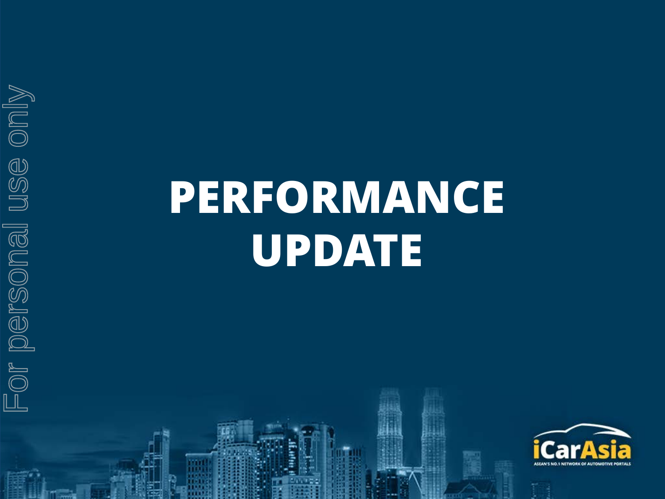For personal use only For personal use only

# **PERFORMANCE UPDATE**

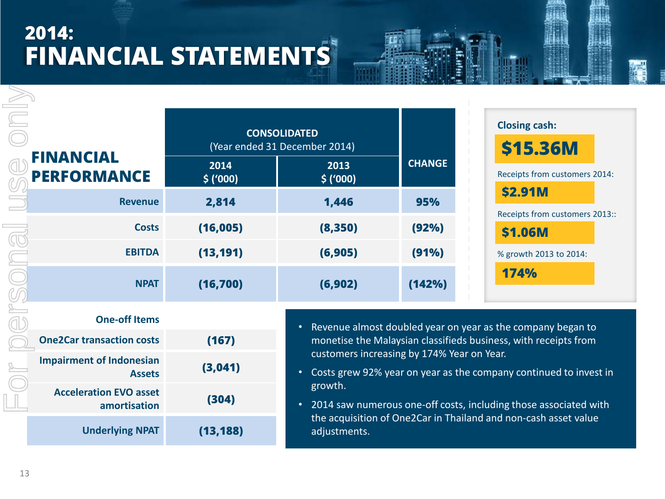# **2014: FINANCIAL STATEMENTS**

|                                                  |                  | <b>CONSOLIDATED</b><br>(Year ended 31 December 2014)                                                                                        |               | <b>Closing cash:</b><br>\$15.36M<br>Receipts from customers 2014:<br><b>\$2.91M</b><br>Receipts from customers 2013::<br><b>\$1.06M</b> |  |  |
|--------------------------------------------------|------------------|---------------------------------------------------------------------------------------------------------------------------------------------|---------------|-----------------------------------------------------------------------------------------------------------------------------------------|--|--|
| <b>FINANCIAL</b><br><b>PERFORMANCE</b>           | 2014<br>\$('000) | 2013<br>\$('000)                                                                                                                            | <b>CHANGE</b> |                                                                                                                                         |  |  |
| <b>Revenue</b>                                   | 2,814            | 1,446                                                                                                                                       | 95%           |                                                                                                                                         |  |  |
| <b>Costs</b>                                     | (16,005)         | (8,350)                                                                                                                                     | (92%)         |                                                                                                                                         |  |  |
| <b>EBITDA</b>                                    | (13, 191)        | (6, 905)                                                                                                                                    | (91%)         | % growth 2013 to 2014:                                                                                                                  |  |  |
| <b>NPAT</b>                                      | (16, 700)        | (6,902)                                                                                                                                     | (142%)        | 174%                                                                                                                                    |  |  |
| <b>One-off Items</b>                             |                  |                                                                                                                                             |               |                                                                                                                                         |  |  |
| <b>One2Car transaction costs</b>                 | (167)            | Revenue almost doubled year on year as the company began to<br>$\bullet$<br>monetise the Malaysian classifieds business, with receipts from |               |                                                                                                                                         |  |  |
| <b>Impairment of Indonesian</b><br><b>Assets</b> | (3,041)          | customers increasing by 174% Year on Year.<br>Costs grew 92% year on year as the company continued to invest in<br>$\bullet$<br>growth.     |               |                                                                                                                                         |  |  |
| Acceleration FMA contract                        |                  |                                                                                                                                             |               |                                                                                                                                         |  |  |

• 2014 saw numerous one-off costs, including those associated with the acquisition of One2Car in Thailand and non-cash asset value adjustments.

For personal use only

ersonal

MIDIO

 $\circled{0}$ 

**Acceleration EVO asset** 

**amortisation (304)**

**Underlying NPAT (13,188)**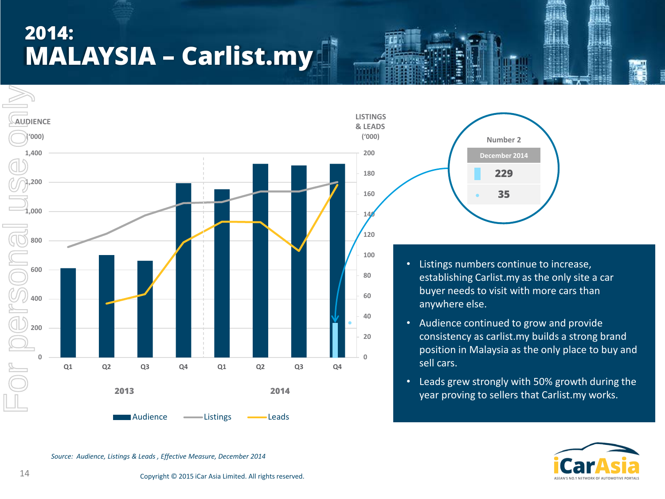# **2014: MALAYSIA – Carlist.my**





- Listings numbers continue to increase, establishing Carlist.my as the only site a car buyer needs to visit with more cars than anywhere else.
- Audience continued to grow and provide consistency as carlist.my builds a strong brand position in Malaysia as the only place to buy and sell cars.
- Leads grew strongly with 50% growth during the year proving to sellers that Carlist.my works.



*Source: Audience, Listings & Leads , Effective Measure, December 2014*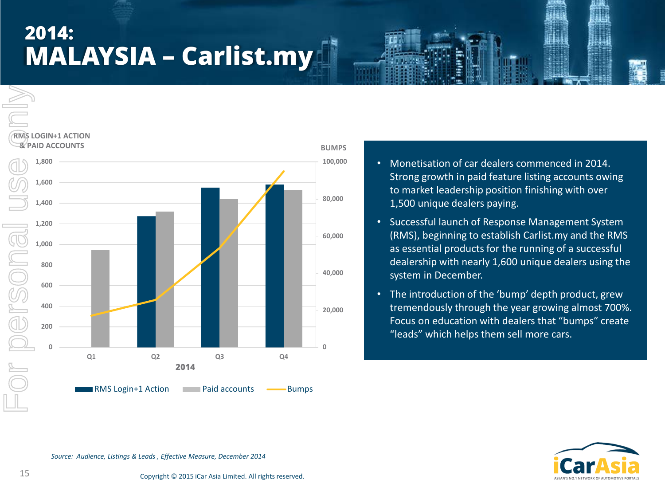# **2014: MALAYSIA – Carlist.my**





- Monetisation of car dealers commenced in 2014. Strong growth in paid feature listing accounts owing to market leadership position finishing with over 1,500 unique dealers paying.
- Successful launch of Response Management System (RMS), beginning to establish Carlist.my and the RMS as essential products for the running of a successful dealership with nearly 1,600 unique dealers using the system in December.
- The introduction of the 'bump' depth product, grew tremendously through the year growing almost 700%. Focus on education with dealers that "bumps" create "leads" which helps them sell more cars.



*Source: Audience, Listings & Leads , Effective Measure, December 2014*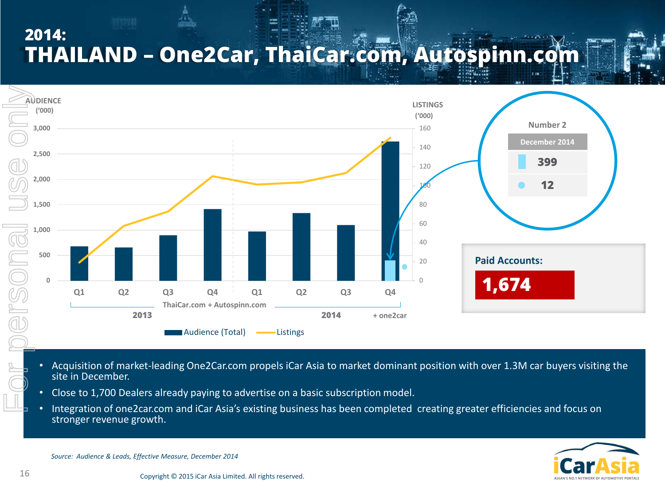## **2014: THAILAND – One2Car, ThaiCar.com, Autospinn.com**



- Acquisition of market-leading One2Car.com propels iCar Asia to market dominant position with over 1.3M car buyers visiting the site in December.
- Close to 1,700 Dealers already paying to advertise on a basic subscription model.
- Integration of one2car.com and iCar Asia's existing business has been completed creating greater efficiencies and focus on stronger revenue growth.

*Source: Audience & Leads, Effective Measure, December 2014*

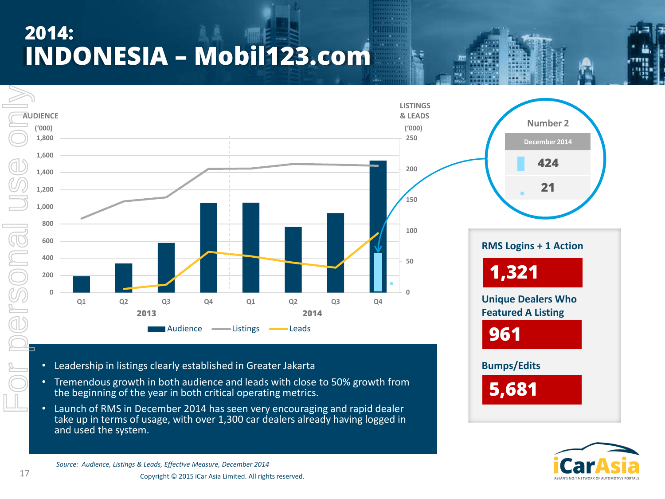# **2014: INDONESIA – Mobil123.com**





- Leadership in listings clearly established in Greater Jakarta
- Tremendous growth in both audience and leads with close to 50% growth from the beginning of the year in both critical operating metrics.
- Launch of RMS in December 2014 has seen very encouraging and rapid dealer take up in terms of usage, with over 1,300 car dealers already having logged in and used the system.

**Number 2 December 2014 424 21 RMS Logins + 1 Action Unique Dealers Who Featured A Listing Bumps/Edits 1,321 961 5,681**



*Source: Audience, Listings & Leads, Effective Measure, December 2014*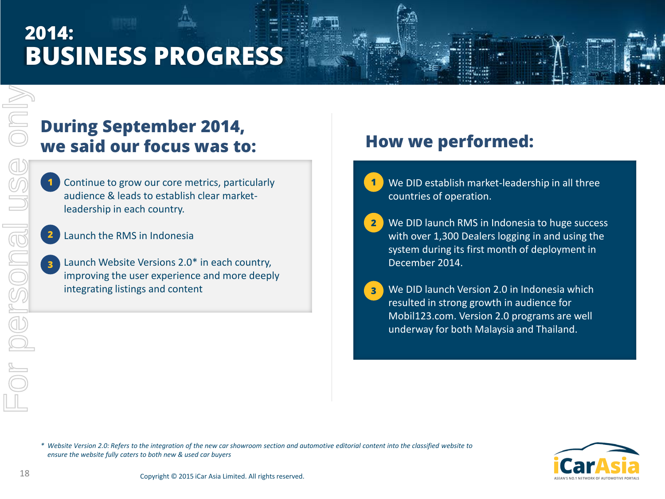# **2014: BUSINESS PROGRESS**

### **During September 2014, we said our focus was to: How we performed:**

- Continue to grow our core metrics, particularly audience & leads to establish clear marketleadership in each country. **1**
- Launch the RMS in Indonesia **2**
- Launch Website Versions 2.0\* in each country, improving the user experience and more deeply integrating listings and content **3**

- We DID establish market-leadership in all three countries of operation. **1**
- We DID launch RMS in Indonesia to huge success with over 1,300 Dealers logging in and using the system during its first month of deployment in December 2014. **2**
- We DID launch Version 2.0 in Indonesia which resulted in strong growth in audience for Mobil123.com. Version 2.0 programs are well underway for both Malaysia and Thailand. **3**

For personal use only

or personal

USS

Only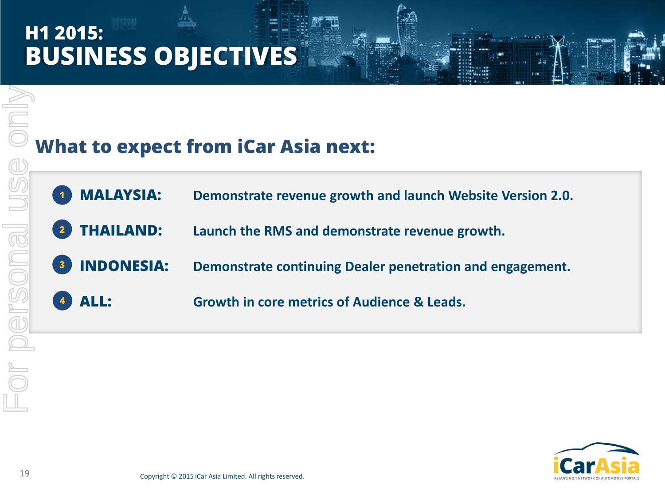# **H1 2015: BUSINESS OBJECTIVES**

## **What to expect from iCar Asia next:**

- **MALAYSIA: Demonstrate revenue growth and launch Website Version 2.0. 1**
- **THAILAND: Launch the RMS and demonstrate revenue growth. 2**
- **INDONESIA: Demonstrate continuing Dealer penetration and engagement. 3**
- **ALL: Growth in core metrics of Audience & Leads. 4**



For personal use only

pr personal use

MIDIO